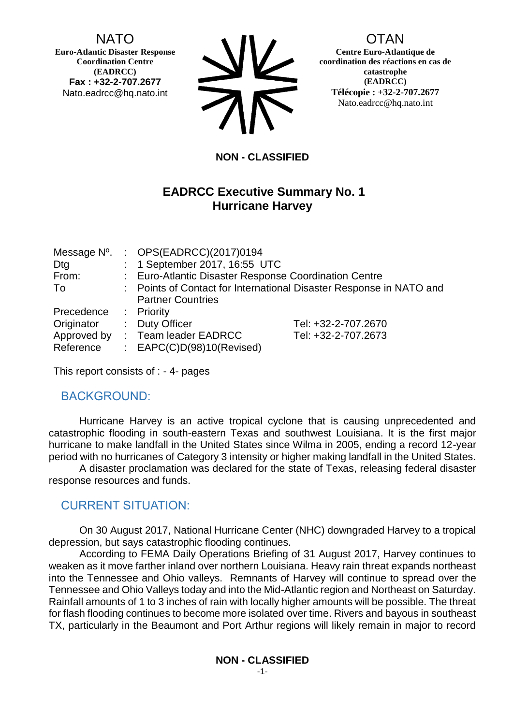NATO

**Euro-Atlantic Disaster Response Coordination Centre (EADRCC) Fax : +32-2-707.2677** Nato.eadrcc@hq.nato.int



#### OTAN

**Centre Euro-Atlantique de coordination des réactions en cas de catastrophe (EADRCC) Télécopie : +32-2-707.2677** Nato.eadrcc@hq.nato.int

#### **NON - CLASSIFIED**

#### **EADRCC Executive Summary No. 1 Hurricane Harvey**

| Dtg                      | Message Nº. : OPS(EADRCC)(2017)0194<br>: 1 September 2017, 16:55 UTC                            |                     |  |
|--------------------------|-------------------------------------------------------------------------------------------------|---------------------|--|
| From:                    | : Euro-Atlantic Disaster Response Coordination Centre                                           |                     |  |
| To                       | : Points of Contact for International Disaster Response in NATO and<br><b>Partner Countries</b> |                     |  |
| Precedence : Priority    |                                                                                                 |                     |  |
| Originator               | : Duty Officer                                                                                  | Tel: +32-2-707.2670 |  |
| Approved by<br>Reference | : Team leader EADRCC<br>: $EAPC(C)D(98)10(Revised)$                                             | Tel: +32-2-707.2673 |  |

This report consists of : - 4- pages

#### BACKGROUND:

Hurricane Harvey is an active tropical cyclone that is causing unprecedented and catastrophic flooding in south-eastern Texas and southwest Louisiana. It is the first major hurricane to make landfall in the United States since Wilma in 2005, ending a record 12-year period with no hurricanes of Category 3 intensity or higher making landfall in the United States.

A disaster proclamation was declared for the state of Texas, releasing federal disaster response resources and funds.

### CURRENT SITUATION:

On 30 August 2017, National Hurricane Center (NHC) downgraded Harvey to a tropical depression, but says catastrophic flooding continues.

According to FEMA Daily Operations Briefing of 31 August 2017, Harvey continues to weaken as it move farther inland over northern Louisiana. Heavy rain threat expands northeast into the Tennessee and Ohio valleys. Remnants of Harvey will continue to spread over the Tennessee and Ohio Valleys today and into the Mid-Atlantic region and Northeast on Saturday. Rainfall amounts of 1 to 3 inches of rain with locally higher amounts will be possible. The threat for flash flooding continues to become more isolated over time. Rivers and bayous in southeast TX, particularly in the Beaumont and Port Arthur regions will likely remain in major to record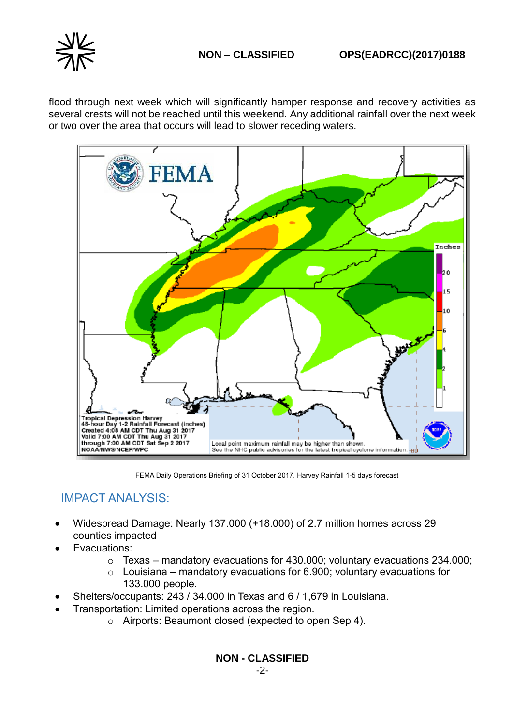flood through next week which will significantly hamper response and recovery activities as several crests will not be reached until this weekend. Any additional rainfall over the next week or two over the area that occurs will lead to slower receding waters.



FEMA Daily Operations Briefing of 31 October 2017, Harvey Rainfall 1-5 days forecast

## IMPACT ANALYSIS:

- Widespread Damage: Nearly 137.000 (+18.000) of 2.7 million homes across 29 counties impacted
- Evacuations:
	- $\circ$  Texas mandatory evacuations for 430.000; voluntary evacuations 234.000;
	- $\circ$  Louisiana mandatory evacuations for 6.900; voluntary evacuations for 133.000 people.
- Shelters/occupants: 243 / 34.000 in Texas and 6 / 1,679 in Louisiana.
- Transportation: Limited operations across the region.
	- o Airports: Beaumont closed (expected to open Sep 4).

**NON - CLASSIFIED**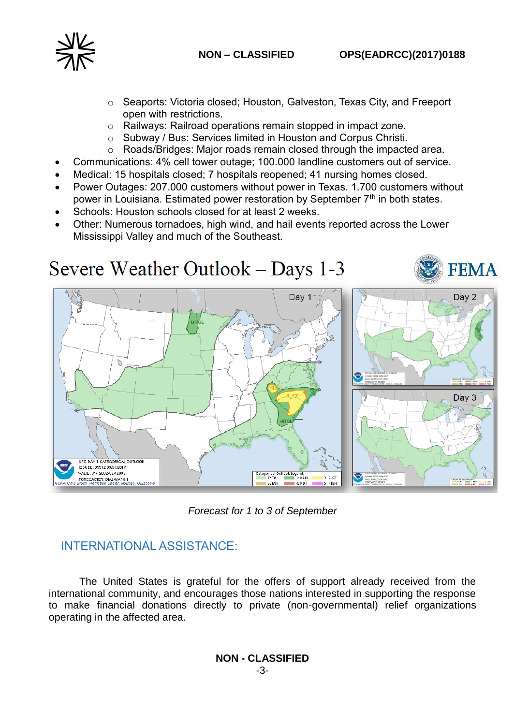

- o Seaports: Victoria closed; Houston, Galveston, Texas City, and Freeport open with restrictions.
- o Railways: Railroad operations remain stopped in impact zone.
- o Subway / Bus: Services limited in Houston and Corpus Christi.
- o Roads/Bridges: Major roads remain closed through the impacted area.
- Communications: 4% cell tower outage; 100.000 landline customers out of service.
- Medical: 15 hospitals closed; 7 hospitals reopened; 41 nursing homes closed.
- Power Outages: 207.000 customers without power in Texas. 1.700 customers without power in Louisiana. Estimated power restoration by September  $7<sup>th</sup>$  in both states.
- Schools: Houston schools closed for at least 2 weeks.
- Other: Numerous tornadoes, high wind, and hail events reported across the Lower Mississippi Valley and much of the Southeast.





# INTERNATIONAL ASSISTANCE:

The United States is grateful for the offers of support already received from the international community, and encourages those nations interested in supporting the response to make financial donations directly to private (non-governmental) relief organizations operating in the affected area.